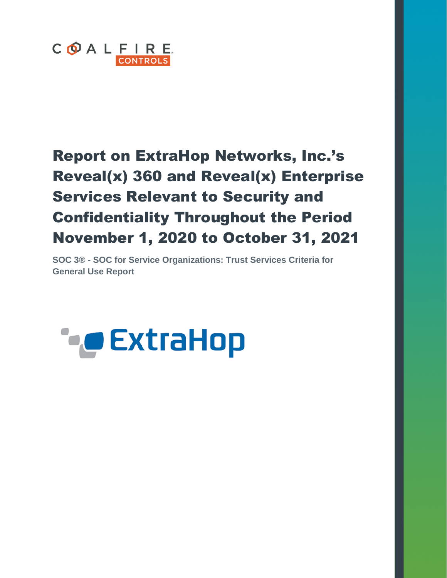

# Report on ExtraHop Networks, Inc.'s Reveal(x) 360 and Reveal(x) Enterprise Services Relevant to Security and Confidentiality Throughout the Period November 1, 2020 to October 31, 2021

**SOC 3® - SOC for Service Organizations: Trust Services Criteria for General Use Report**

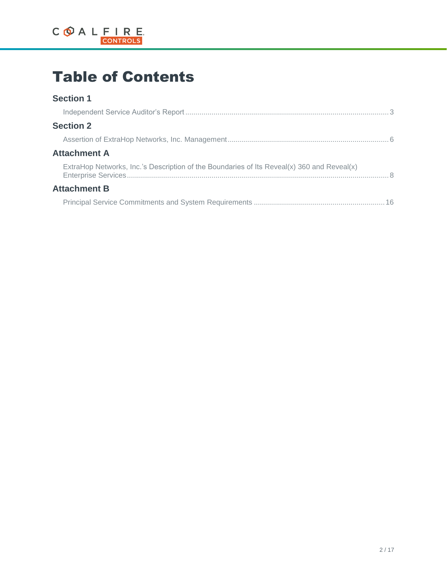

# Table of Contents

### **Section 1**

| <b>Section 2</b>                                                                           |
|--------------------------------------------------------------------------------------------|
|                                                                                            |
| <b>Attachment A</b>                                                                        |
| ExtraHop Networks, Inc.'s Description of the Boundaries of Its Reveal(x) 360 and Reveal(x) |
| <b>Attachment B</b>                                                                        |
|                                                                                            |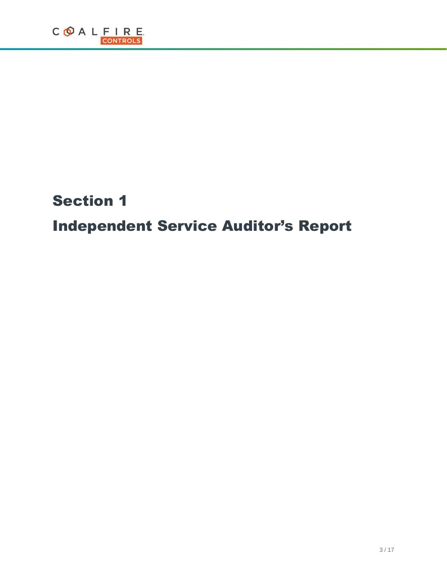# Section 1

# Independent Service Auditor's Report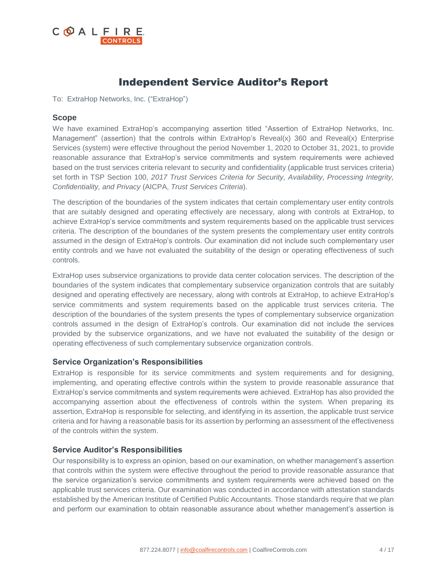

## Independent Service Auditor's Report

To: ExtraHop Networks, Inc. ("ExtraHop")

#### **Scope**

We have examined ExtraHop's accompanying assertion titled "Assertion of ExtraHop Networks, Inc. Management" (assertion) that the controls within ExtraHop's Reveal(x) 360 and Reveal(x) Enterprise Services (system) were effective throughout the period November 1, 2020 to October 31, 2021, to provide reasonable assurance that ExtraHop's service commitments and system requirements were achieved based on the trust services criteria relevant to security and confidentiality (applicable trust services criteria) set forth in TSP Section 100, *2017 Trust Services Criteria for Security, Availability, Processing Integrity, Confidentiality, and Privacy* (AICPA, *Trust Services Criteria*).

The description of the boundaries of the system indicates that certain complementary user entity controls that are suitably designed and operating effectively are necessary, along with controls at ExtraHop, to achieve ExtraHop's service commitments and system requirements based on the applicable trust services criteria. The description of the boundaries of the system presents the complementary user entity controls assumed in the design of ExtraHop's controls. Our examination did not include such complementary user entity controls and we have not evaluated the suitability of the design or operating effectiveness of such controls.

ExtraHop uses subservice organizations to provide data center colocation services. The description of the boundaries of the system indicates that complementary subservice organization controls that are suitably designed and operating effectively are necessary, along with controls at ExtraHop, to achieve ExtraHop's service commitments and system requirements based on the applicable trust services criteria. The description of the boundaries of the system presents the types of complementary subservice organization controls assumed in the design of ExtraHop's controls. Our examination did not include the services provided by the subservice organizations, and we have not evaluated the suitability of the design or operating effectiveness of such complementary subservice organization controls.

### **Service Organization's Responsibilities**

ExtraHop is responsible for its service commitments and system requirements and for designing, implementing, and operating effective controls within the system to provide reasonable assurance that ExtraHop's service commitments and system requirements were achieved. ExtraHop has also provided the accompanying assertion about the effectiveness of controls within the system. When preparing its assertion, ExtraHop is responsible for selecting, and identifying in its assertion, the applicable trust service criteria and for having a reasonable basis for its assertion by performing an assessment of the effectiveness of the controls within the system.

### **Service Auditor's Responsibilities**

Our responsibility is to express an opinion, based on our examination, on whether management's assertion that controls within the system were effective throughout the period to provide reasonable assurance that the service organization's service commitments and system requirements were achieved based on the applicable trust services criteria. Our examination was conducted in accordance with attestation standards established by the American Institute of Certified Public Accountants. Those standards require that we plan and perform our examination to obtain reasonable assurance about whether management's assertion is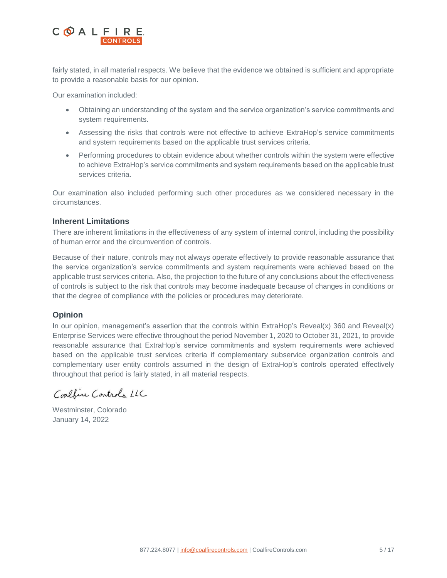

fairly stated, in all material respects. We believe that the evidence we obtained is sufficient and appropriate to provide a reasonable basis for our opinion.

Our examination included:

- Obtaining an understanding of the system and the service organization's service commitments and system requirements.
- Assessing the risks that controls were not effective to achieve ExtraHop's service commitments and system requirements based on the applicable trust services criteria.
- Performing procedures to obtain evidence about whether controls within the system were effective to achieve ExtraHop's service commitments and system requirements based on the applicable trust services criteria.

Our examination also included performing such other procedures as we considered necessary in the circumstances.

#### **Inherent Limitations**

There are inherent limitations in the effectiveness of any system of internal control, including the possibility of human error and the circumvention of controls.

Because of their nature, controls may not always operate effectively to provide reasonable assurance that the service organization's service commitments and system requirements were achieved based on the applicable trust services criteria. Also, the projection to the future of any conclusions about the effectiveness of controls is subject to the risk that controls may become inadequate because of changes in conditions or that the degree of compliance with the policies or procedures may deteriorate.

#### **Opinion**

In our opinion, management's assertion that the controls within ExtraHop's Reveal(x) 360 and Reveal(x) Enterprise Services were effective throughout the period November 1, 2020 to October 31, 2021, to provide reasonable assurance that ExtraHop's service commitments and system requirements were achieved based on the applicable trust services criteria if complementary subservice organization controls and complementary user entity controls assumed in the design of ExtraHop's controls operated effectively throughout that period is fairly stated, in all material respects.

Coalfine Controls LLC

Westminster, Colorado January 14, 2022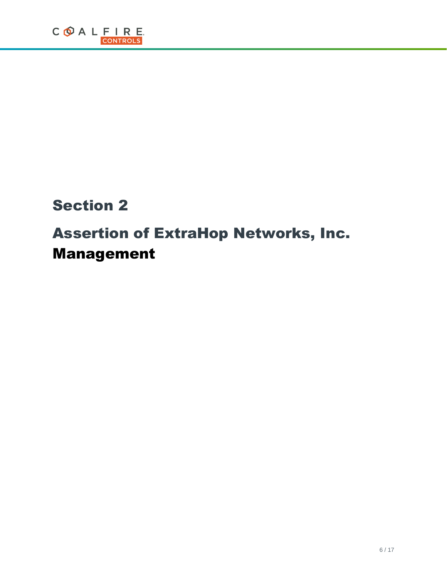## Section 2

# Assertion of ExtraHop Networks, Inc. Management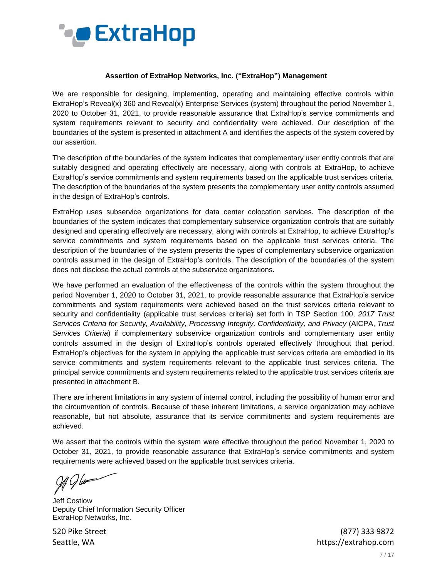

#### **Assertion of ExtraHop Networks, Inc. ("ExtraHop") Management**

We are responsible for designing, implementing, operating and maintaining effective controls within ExtraHop's Reveal(x) 360 and Reveal(x) Enterprise Services (system) throughout the period November 1, 2020 to October 31, 2021, to provide reasonable assurance that ExtraHop's service commitments and system requirements relevant to security and confidentiality were achieved. Our description of the boundaries of the system is presented in attachment A and identifies the aspects of the system covered by our assertion.

The description of the boundaries of the system indicates that complementary user entity controls that are suitably designed and operating effectively are necessary, along with controls at ExtraHop, to achieve ExtraHop's service commitments and system requirements based on the applicable trust services criteria. The description of the boundaries of the system presents the complementary user entity controls assumed in the design of ExtraHop's controls.

ExtraHop uses subservice organizations for data center colocation services. The description of the boundaries of the system indicates that complementary subservice organization controls that are suitably designed and operating effectively are necessary, along with controls at ExtraHop, to achieve ExtraHop's service commitments and system requirements based on the applicable trust services criteria. The description of the boundaries of the system presents the types of complementary subservice organization controls assumed in the design of ExtraHop's controls. The description of the boundaries of the system does not disclose the actual controls at the subservice organizations.

We have performed an evaluation of the effectiveness of the controls within the system throughout the period November 1, 2020 to October 31, 2021, to provide reasonable assurance that ExtraHop's service commitments and system requirements were achieved based on the trust services criteria relevant to security and confidentiality (applicable trust services criteria) set forth in TSP Section 100, *2017 Trust Services Criteria for Security, Availability, Processing Integrity, Confidentiality, and Privacy* (AICPA, *Trust Services Criteria*) if complementary subservice organization controls and complementary user entity controls assumed in the design of ExtraHop's controls operated effectively throughout that period. ExtraHop's objectives for the system in applying the applicable trust services criteria are embodied in its service commitments and system requirements relevant to the applicable trust services criteria. The principal service commitments and system requirements related to the applicable trust services criteria are presented in attachment B.

There are inherent limitations in any system of internal control, including the possibility of human error and the circumvention of controls. Because of these inherent limitations, a service organization may achieve reasonable, but not absolute, assurance that its service commitments and system requirements are achieved.

We assert that the controls within the system were effective throughout the period November 1, 2020 to October 31, 2021, to provide reasonable assurance that ExtraHop's service commitments and system requirements were achieved based on the applicable trust services criteria.

! G b#

Jeff Costlow Deputy Chief Information Security Officer ExtraHop Networks, Inc.

520 Pike Street (877) 333 9872 Seattle, WA https://extrahop.com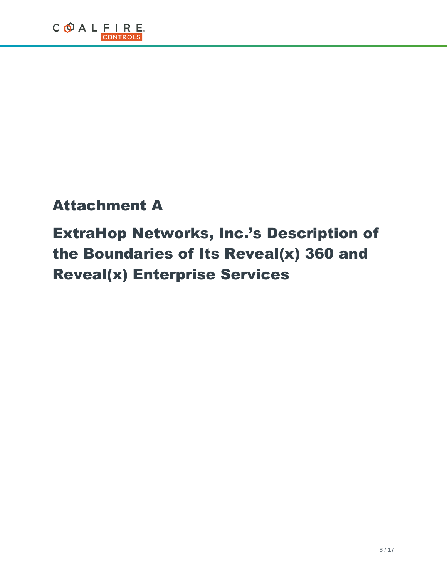# Attachment A

# ExtraHop Networks, Inc.'s Description of the Boundaries of Its Reveal(x) 360 and Reveal(x) Enterprise Services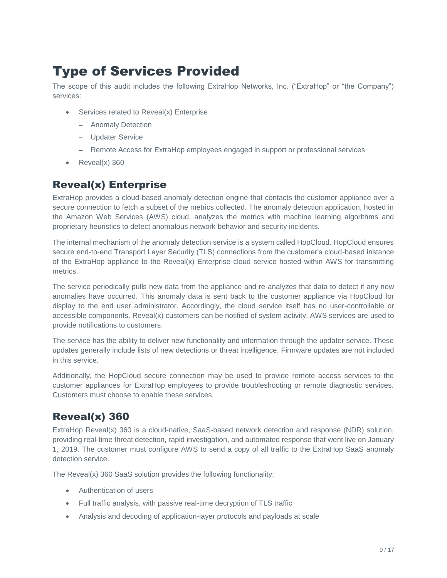## Type of Services Provided

The scope of this audit includes the following ExtraHop Networks, Inc. ("ExtraHop" or "the Company") services:

- Services related to Reveal(x) Enterprise
	- Anomaly Detection
	- Updater Service
	- Remote Access for ExtraHop employees engaged in support or professional services
- Reveal(x) 360

## Reveal(x) Enterprise

ExtraHop provides a cloud-based anomaly detection engine that contacts the customer appliance over a secure connection to fetch a subset of the metrics collected. The anomaly detection application, hosted in the Amazon Web Services (AWS) cloud, analyzes the metrics with machine learning algorithms and proprietary heuristics to detect anomalous network behavior and security incidents.

The internal mechanism of the anomaly detection service is a system called HopCloud. HopCloud ensures secure end-to-end Transport Layer Security (TLS) connections from the customer's cloud-based instance of the ExtraHop appliance to the Reveal(x) Enterprise cloud service hosted within AWS for transmitting metrics.

The service periodically pulls new data from the appliance and re-analyzes that data to detect if any new anomalies have occurred. This anomaly data is sent back to the customer appliance via HopCloud for display to the end user administrator. Accordingly, the cloud service itself has no user-controllable or accessible components. Reveal(x) customers can be notified of system activity. AWS services are used to provide notifications to customers.

The service has the ability to deliver new functionality and information through the updater service. These updates generally include lists of new detections or threat intelligence. Firmware updates are not included in this service.

Additionally, the HopCloud secure connection may be used to provide remote access services to the customer appliances for ExtraHop employees to provide troubleshooting or remote diagnostic services. Customers must choose to enable these services.

## Reveal(x) 360

ExtraHop Reveal(x) 360 is a cloud-native, SaaS-based network detection and response (NDR) solution, providing real-time threat detection, rapid investigation, and automated response that went live on January 1, 2019. The customer must configure AWS to send a copy of all traffic to the ExtraHop SaaS anomaly detection service.

The Reveal(x) 360 SaaS solution provides the following functionality:

- Authentication of users
- Full traffic analysis, with passive real-time decryption of TLS traffic
- Analysis and decoding of application-layer protocols and payloads at scale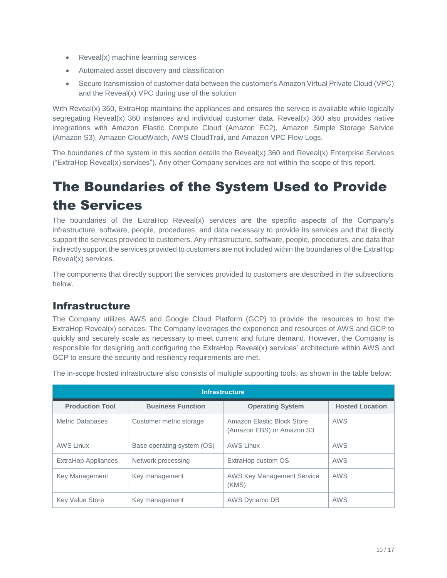- Reveal(x) machine learning services
- Automated asset discovery and classification
- Secure transmission of customer data between the customer's Amazon Virtual Private Cloud (VPC) and the Reveal(x) VPC during use of the solution

With Reveal(x) 360, ExtraHop maintains the appliances and ensures the service is available while logically segregating Reveal(x) 360 instances and individual customer data. Reveal(x) 360 also provides native integrations with Amazon Elastic Compute Cloud (Amazon EC2), Amazon Simple Storage Service (Amazon S3), Amazon CloudWatch, AWS CloudTrail, and Amazon VPC Flow Logs.

The boundaries of the system in this section details the Reveal(x) 360 and Reveal(x) Enterprise Services ("ExtraHop Reveal(x) services"). Any other Company services are not within the scope of this report.

## The Boundaries of the System Used to Provide the Services

The boundaries of the ExtraHop Reveal(x) services are the specific aspects of the Company's infrastructure, software, people, procedures, and data necessary to provide its services and that directly support the services provided to customers. Any infrastructure, software, people, procedures, and data that indirectly support the services provided to customers are not included within the boundaries of the ExtraHop Reveal(x) services.

The components that directly support the services provided to customers are described in the subsections below.

## Infrastructure

The Company utilizes AWS and Google Cloud Platform (GCP) to provide the resources to host the ExtraHop Reveal(x) services. The Company leverages the experience and resources of AWS and GCP to quickly and securely scale as necessary to meet current and future demand. However, the Company is responsible for designing and configuring the ExtraHop Reveal(x) services' architecture within AWS and GCP to ensure the security and resiliency requirements are met.

| <b>Infrastructure</b>  |                            |                                                         |                        |
|------------------------|----------------------------|---------------------------------------------------------|------------------------|
| <b>Production Tool</b> | <b>Business Function</b>   | <b>Operating System</b>                                 | <b>Hosted Location</b> |
| Metric Databases       | Customer metric storage    | Amazon Elastic Block Store<br>(Amazon EBS) or Amazon S3 | <b>AWS</b>             |
| <b>AWS Linux</b>       | Base operating system (OS) | <b>AWS Linux</b>                                        | <b>AWS</b>             |
| ExtraHop Appliances    | Network processing         | ExtraHop custom OS                                      | <b>AWS</b>             |
| Key Management         | Key management             | <b>AWS Key Management Service</b><br>(KMS)              | <b>AWS</b>             |
| <b>Key Value Store</b> | Key management             | AWS Dynamo DB                                           | <b>AWS</b>             |

The in-scope hosted infrastructure also consists of multiple supporting tools, as shown in the table below: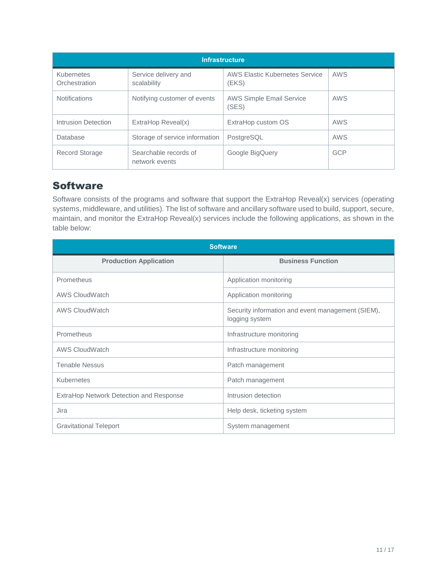| <b>Infrastructure</b>       |                                         |                                                |            |
|-----------------------------|-----------------------------------------|------------------------------------------------|------------|
| Kubernetes<br>Orchestration | Service delivery and<br>scalability     | <b>AWS Elastic Kubernetes Service</b><br>(EKS) | <b>AWS</b> |
| <b>Notifications</b>        | Notifying customer of events            | <b>AWS Simple Email Service</b><br>(SES)       | AWS        |
| Intrusion Detection         | ExtraHop Reveal(x)                      | ExtraHop custom OS                             | AWS        |
| Database                    | Storage of service information          | PostgreSQL                                     | <b>AWS</b> |
| <b>Record Storage</b>       | Searchable records of<br>network events | Google BigQuery                                | <b>GCP</b> |

### **Software**

Software consists of the programs and software that support the ExtraHop Reveal(x) services (operating systems, middleware, and utilities). The list of software and ancillary software used to build, support, secure, maintain, and monitor the ExtraHop Reveal(x) services include the following applications, as shown in the table below:

| <b>Software</b>                         |                                                                     |  |
|-----------------------------------------|---------------------------------------------------------------------|--|
| <b>Production Application</b>           | <b>Business Function</b>                                            |  |
| Prometheus                              | Application monitoring                                              |  |
| <b>AWS CloudWatch</b>                   | Application monitoring                                              |  |
| <b>AWS CloudWatch</b>                   | Security information and event management (SIEM),<br>logging system |  |
| Prometheus                              | Infrastructure monitoring                                           |  |
| <b>AWS CloudWatch</b>                   | Infrastructure monitoring                                           |  |
| <b>Tenable Nessus</b>                   | Patch management                                                    |  |
| Kubernetes                              | Patch management                                                    |  |
| ExtraHop Network Detection and Response | Intrusion detection                                                 |  |
| Jira                                    | Help desk, ticketing system                                         |  |
| <b>Gravitational Teleport</b>           | System management                                                   |  |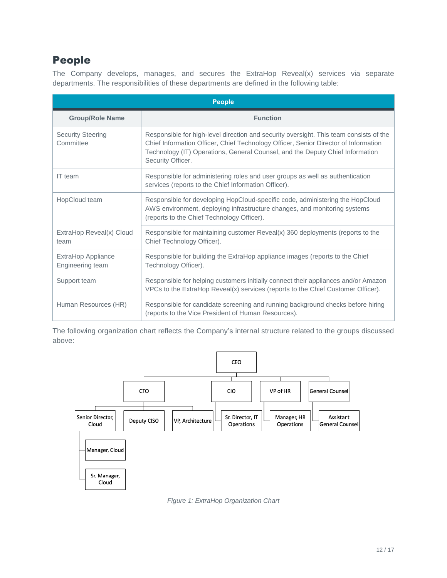## People

The Company develops, manages, and secures the ExtraHop Reveal(x) services via separate departments. The responsibilities of these departments are defined in the following table:

| <b>People</b>                          |                                                                                                                                                                                                                                                                                     |  |
|----------------------------------------|-------------------------------------------------------------------------------------------------------------------------------------------------------------------------------------------------------------------------------------------------------------------------------------|--|
| <b>Group/Role Name</b>                 | <b>Function</b>                                                                                                                                                                                                                                                                     |  |
| <b>Security Steering</b><br>Committee  | Responsible for high-level direction and security oversight. This team consists of the<br>Chief Information Officer, Chief Technology Officer, Senior Director of Information<br>Technology (IT) Operations, General Counsel, and the Deputy Chief Information<br>Security Officer. |  |
| IT team                                | Responsible for administering roles and user groups as well as authentication<br>services (reports to the Chief Information Officer).                                                                                                                                               |  |
| HopCloud team                          | Responsible for developing HopCloud-specific code, administering the HopCloud<br>AWS environment, deploying infrastructure changes, and monitoring systems<br>(reports to the Chief Technology Officer).                                                                            |  |
| ExtraHop Reveal(x) Cloud<br>team       | Responsible for maintaining customer Reveal(x) 360 deployments (reports to the<br>Chief Technology Officer).                                                                                                                                                                        |  |
| ExtraHop Appliance<br>Engineering team | Responsible for building the ExtraHop appliance images (reports to the Chief<br>Technology Officer).                                                                                                                                                                                |  |
| Support team                           | Responsible for helping customers initially connect their appliances and/or Amazon<br>VPCs to the ExtraHop Reveal(x) services (reports to the Chief Customer Officer).                                                                                                              |  |
| Human Resources (HR)                   | Responsible for candidate screening and running background checks before hiring<br>(reports to the Vice President of Human Resources).                                                                                                                                              |  |

The following organization chart reflects the Company's internal structure related to the groups discussed above:



*Figure 1: ExtraHop Organization Chart*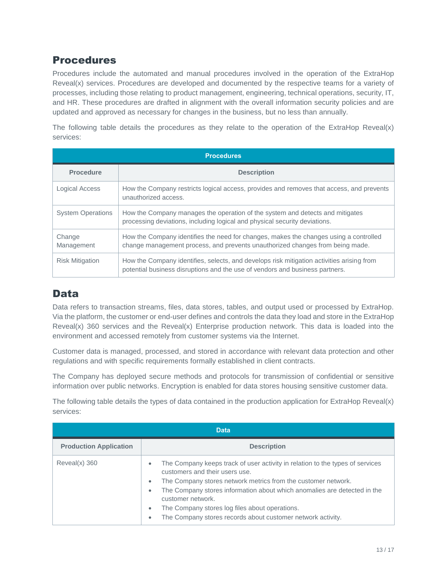### Procedures

Procedures include the automated and manual procedures involved in the operation of the ExtraHop Reveal(x) services. Procedures are developed and documented by the respective teams for a variety of processes, including those relating to product management, engineering, technical operations, security, IT, and HR. These procedures are drafted in alignment with the overall information security policies and are updated and approved as necessary for changes in the business, but no less than annually.

The following table details the procedures as they relate to the operation of the ExtraHop Reveal(x) services:

| <b>Procedures</b>                      |                                                                                                                                                                           |  |
|----------------------------------------|---------------------------------------------------------------------------------------------------------------------------------------------------------------------------|--|
| <b>Description</b><br><b>Procedure</b> |                                                                                                                                                                           |  |
| Logical Access                         | How the Company restricts logical access, provides and removes that access, and prevents<br>unauthorized access.                                                          |  |
| <b>System Operations</b>               | How the Company manages the operation of the system and detects and mitigates<br>processing deviations, including logical and physical security deviations.               |  |
| Change<br>Management                   | How the Company identifies the need for changes, makes the changes using a controlled<br>change management process, and prevents unauthorized changes from being made.    |  |
| <b>Risk Mitigation</b>                 | How the Company identifies, selects, and develops risk mitigation activities arising from<br>potential business disruptions and the use of vendors and business partners. |  |

## **Data**

Data refers to transaction streams, files, data stores, tables, and output used or processed by ExtraHop. Via the platform, the customer or end-user defines and controls the data they load and store in the ExtraHop Reveal(x) 360 services and the Reveal(x) Enterprise production network. This data is loaded into the environment and accessed remotely from customer systems via the Internet.

Customer data is managed, processed, and stored in accordance with relevant data protection and other regulations and with specific requirements formally established in client contracts.

The Company has deployed secure methods and protocols for transmission of confidential or sensitive information over public networks. Encryption is enabled for data stores housing sensitive customer data.

The following table details the types of data contained in the production application for ExtraHop Reveal(x) services:

| <b>Data</b>                   |                                                                                                                                                                                                                                                                                                                                                                                                                                                     |  |
|-------------------------------|-----------------------------------------------------------------------------------------------------------------------------------------------------------------------------------------------------------------------------------------------------------------------------------------------------------------------------------------------------------------------------------------------------------------------------------------------------|--|
| <b>Production Application</b> | <b>Description</b>                                                                                                                                                                                                                                                                                                                                                                                                                                  |  |
| $Reveal(x)$ 360               | The Company keeps track of user activity in relation to the types of services<br>۰<br>customers and their users use.<br>The Company stores network metrics from the customer network.<br>$\bullet$<br>The Company stores information about which anomalies are detected in the<br>$\bullet$<br>customer network.<br>The Company stores log files about operations.<br>$\bullet$<br>The Company stores records about customer network activity.<br>۰ |  |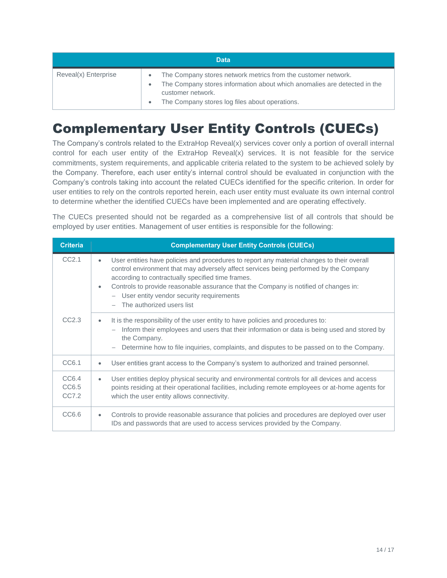| <b>Data</b>          |                                                                                                                                                                                                                                            |  |  |
|----------------------|--------------------------------------------------------------------------------------------------------------------------------------------------------------------------------------------------------------------------------------------|--|--|
| Reveal(x) Enterprise | The Company stores network metrics from the customer network.<br>$\bullet$<br>The Company stores information about which anomalies are detected in the<br>customer network.<br>The Company stores log files about operations.<br>$\bullet$ |  |  |

## Complementary User Entity Controls (CUECs)

The Company's controls related to the ExtraHop Reveal(x) services cover only a portion of overall internal control for each user entity of the ExtraHop Reveal(x) services. It is not feasible for the service commitments, system requirements, and applicable criteria related to the system to be achieved solely by the Company. Therefore, each user entity's internal control should be evaluated in conjunction with the Company's controls taking into account the related CUECs identified for the specific criterion. In order for user entities to rely on the controls reported herein, each user entity must evaluate its own internal control to determine whether the identified CUECs have been implemented and are operating effectively.

The CUECs presented should not be regarded as a comprehensive list of all controls that should be employed by user entities. Management of user entities is responsible for the following:

| <b>Criteria</b>         | <b>Complementary User Entity Controls (CUECs)</b>                                                                                                                                                                                                                                                                                                                                                                       |
|-------------------------|-------------------------------------------------------------------------------------------------------------------------------------------------------------------------------------------------------------------------------------------------------------------------------------------------------------------------------------------------------------------------------------------------------------------------|
| CC2.1                   | User entities have policies and procedures to report any material changes to their overall<br>٠<br>control environment that may adversely affect services being performed by the Company<br>according to contractually specified time frames.<br>Controls to provide reasonable assurance that the Company is notified of changes in:<br>٠<br>- User entity vendor security requirements<br>- The authorized users list |
| CC2.3                   | It is the responsibility of the user entity to have policies and procedures to:<br>۰<br>- Inform their employees and users that their information or data is being used and stored by<br>the Company.<br>Determine how to file inquiries, complaints, and disputes to be passed on to the Company.<br>$\overline{\phantom{m}}$                                                                                          |
| CC6.1                   | User entities grant access to the Company's system to authorized and trained personnel.<br>٠                                                                                                                                                                                                                                                                                                                            |
| CC6.4<br>CC6.5<br>CC7.2 | User entities deploy physical security and environmental controls for all devices and access<br>$\bullet$<br>points residing at their operational facilities, including remote employees or at-home agents for<br>which the user entity allows connectivity.                                                                                                                                                            |
| CC6.6                   | Controls to provide reasonable assurance that policies and procedures are deployed over user<br>٠<br>IDs and passwords that are used to access services provided by the Company.                                                                                                                                                                                                                                        |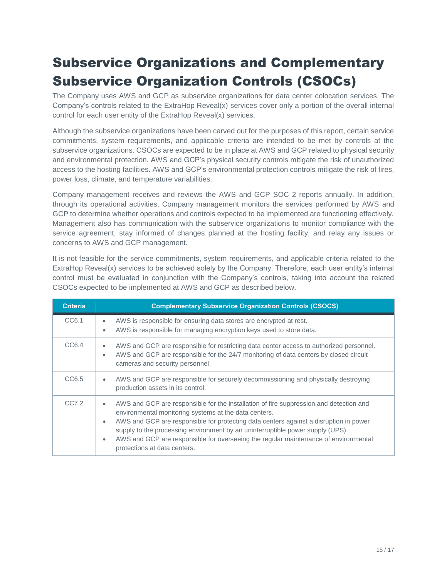# Subservice Organizations and Complementary Subservice Organization Controls (CSOCs)

The Company uses AWS and GCP as subservice organizations for data center colocation services. The Company's controls related to the ExtraHop Reveal(x) services cover only a portion of the overall internal control for each user entity of the ExtraHop Reveal(x) services.

Although the subservice organizations have been carved out for the purposes of this report, certain service commitments, system requirements, and applicable criteria are intended to be met by controls at the subservice organizations. CSOCs are expected to be in place at AWS and GCP related to physical security and environmental protection. AWS and GCP's physical security controls mitigate the risk of unauthorized access to the hosting facilities. AWS and GCP's environmental protection controls mitigate the risk of fires, power loss, climate, and temperature variabilities.

Company management receives and reviews the AWS and GCP SOC 2 reports annually. In addition, through its operational activities, Company management monitors the services performed by AWS and GCP to determine whether operations and controls expected to be implemented are functioning effectively. Management also has communication with the subservice organizations to monitor compliance with the service agreement, stay informed of changes planned at the hosting facility, and relay any issues or concerns to AWS and GCP management.

It is not feasible for the service commitments, system requirements, and applicable criteria related to the ExtraHop Reveal(x) services to be achieved solely by the Company. Therefore, each user entity's internal control must be evaluated in conjunction with the Company's controls, taking into account the related CSOCs expected to be implemented at AWS and GCP as described below.

| <b>Criteria</b> | <b>Complementary Subservice Organization Controls (CSOCS)</b>                                                                                                                                                                                                                                                                                                                                                                                                                            |
|-----------------|------------------------------------------------------------------------------------------------------------------------------------------------------------------------------------------------------------------------------------------------------------------------------------------------------------------------------------------------------------------------------------------------------------------------------------------------------------------------------------------|
| CC6.1           | AWS is responsible for ensuring data stores are encrypted at rest.<br>$\bullet$<br>AWS is responsible for managing encryption keys used to store data.<br>$\bullet$                                                                                                                                                                                                                                                                                                                      |
| CC6.4           | AWS and GCP are responsible for restricting data center access to authorized personnel.<br>$\bullet$<br>AWS and GCP are responsible for the 24/7 monitoring of data centers by closed circuit<br>$\bullet$<br>cameras and security personnel.                                                                                                                                                                                                                                            |
| CC6.5           | AWS and GCP are responsible for securely decommissioning and physically destroying<br>$\bullet$<br>production assets in its control.                                                                                                                                                                                                                                                                                                                                                     |
| CCZ.2           | AWS and GCP are responsible for the installation of fire suppression and detection and<br>$\bullet$<br>environmental monitoring systems at the data centers.<br>AWS and GCP are responsible for protecting data centers against a disruption in power<br>$\bullet$<br>supply to the processing environment by an uninterruptible power supply (UPS).<br>AWS and GCP are responsible for overseeing the regular maintenance of environmental<br>$\bullet$<br>protections at data centers. |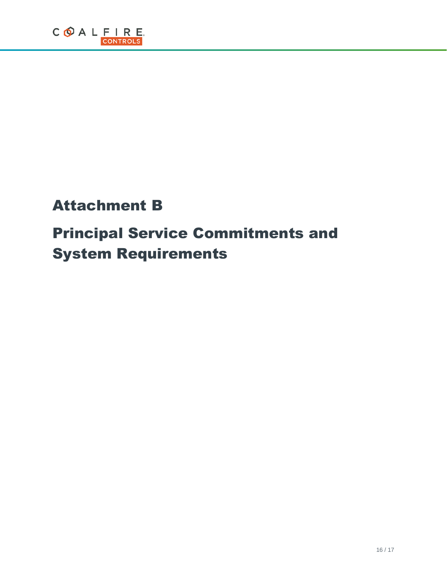# Attachment B

# Principal Service Commitments and System Requirements